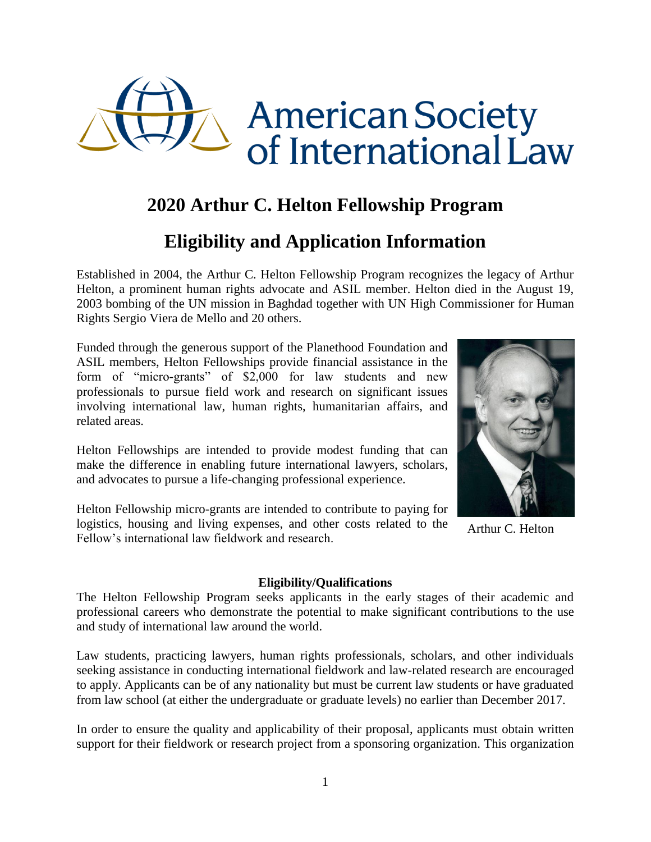

# **2020 Arthur C. Helton Fellowship Program**

# **Eligibility and Application Information**

Established in 2004, the Arthur C. Helton Fellowship Program recognizes the legacy of Arthur Helton, a prominent human rights advocate and ASIL member. Helton died in the August 19, 2003 bombing of the UN mission in Baghdad together with UN High Commissioner for Human Rights Sergio Viera de Mello and 20 others.

Funded through the generous support of the Planethood Foundation and ASIL members, Helton Fellowships provide financial assistance in the form of "micro-grants" of \$2,000 for law students and new professionals to pursue field work and research on significant issues involving international law, human rights, humanitarian affairs, and related areas.

Helton Fellowships are intended to provide modest funding that can make the difference in enabling future international lawyers, scholars, and advocates to pursue a life-changing professional experience.

Helton Fellowship micro-grants are intended to contribute to paying for logistics, housing and living expenses, and other costs related to the Fellow's international law fieldwork and research.

## **Eligibility/Qualifications**

The Helton Fellowship Program seeks applicants in the early stages of their academic and professional careers who demonstrate the potential to make significant contributions to the use and study of international law around the world.

Law students, practicing lawyers, human rights professionals, scholars, and other individuals seeking assistance in conducting international fieldwork and law-related research are encouraged to apply. Applicants can be of any nationality but must be current law students or have graduated from law school (at either the undergraduate or graduate levels) no earlier than December 2017.

In order to ensure the quality and applicability of their proposal, applicants must obtain written support for their fieldwork or research project from a sponsoring organization. This organization



Arthur C. Helton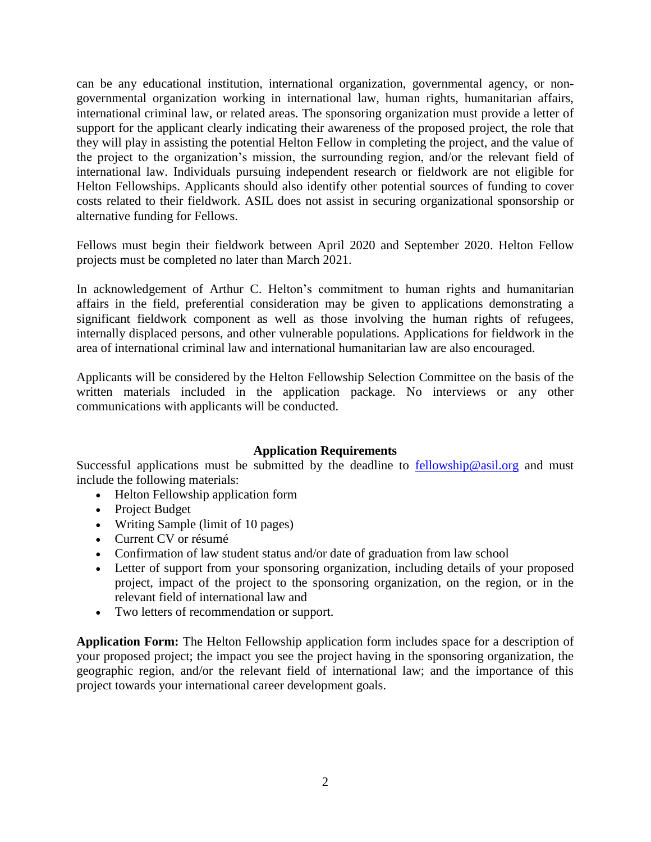can be any educational institution, international organization, governmental agency, or nongovernmental organization working in international law, human rights, humanitarian affairs, international criminal law, or related areas. The sponsoring organization must provide a letter of support for the applicant clearly indicating their awareness of the proposed project, the role that they will play in assisting the potential Helton Fellow in completing the project, and the value of the project to the organization's mission, the surrounding region, and/or the relevant field of international law. Individuals pursuing independent research or fieldwork are not eligible for Helton Fellowships. Applicants should also identify other potential sources of funding to cover costs related to their fieldwork. ASIL does not assist in securing organizational sponsorship or alternative funding for Fellows.

Fellows must begin their fieldwork between April 2020 and September 2020. Helton Fellow projects must be completed no later than March 2021.

In acknowledgement of Arthur C. Helton's commitment to human rights and humanitarian affairs in the field, preferential consideration may be given to applications demonstrating a significant fieldwork component as well as those involving the human rights of refugees, internally displaced persons, and other vulnerable populations. Applications for fieldwork in the area of international criminal law and international humanitarian law are also encouraged.

Applicants will be considered by the Helton Fellowship Selection Committee on the basis of the written materials included in the application package. No interviews or any other communications with applicants will be conducted.

### **Application Requirements**

Successful applications must be submitted by the deadline to [fellowship@asil.org](mailto:fellowship@asil.org) and must include the following materials:

- Helton Fellowship application form
- Project Budget
- Writing Sample (limit of 10 pages)
- Current CV or résumé
- Confirmation of law student status and/or date of graduation from law school
- Letter of support from your sponsoring organization, including details of your proposed project, impact of the project to the sponsoring organization, on the region, or in the relevant field of international law and
- Two letters of recommendation or support.

**Application Form:** The Helton Fellowship application form includes space for a description of your proposed project; the impact you see the project having in the sponsoring organization, the geographic region, and/or the relevant field of international law; and the importance of this project towards your international career development goals.